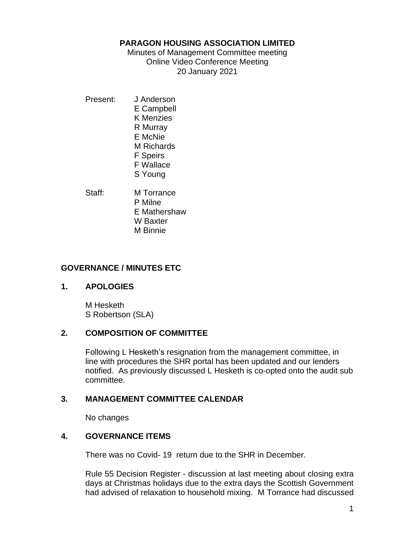#### **PARAGON HOUSING ASSOCIATION LIMITED**

Minutes of Management Committee meeting Online Video Conference Meeting 20 January 2021

- Present: J Anderson E Campbell K Menzies R Murray E McNie M Richards F Speirs F Wallace S Young
- Staff: M Torrance P Milne E Mathershaw W Baxter M Binnie

# **GOVERNANCE / MINUTES ETC**

## **1. APOLOGIES**

M Hesketh S Robertson (SLA)

# **2. COMPOSITION OF COMMITTEE**

Following L Hesketh's resignation from the management committee, in line with procedures the SHR portal has been updated and our lenders notified. As previously discussed L Hesketh is co-opted onto the audit sub committee.

# **3. MANAGEMENT COMMITTEE CALENDAR**

No changes

# **4. GOVERNANCE ITEMS**

There was no Covid- 19 return due to the SHR in December.

Rule 55 Decision Register - discussion at last meeting about closing extra days at Christmas holidays due to the extra days the Scottish Government had advised of relaxation to household mixing. M Torrance had discussed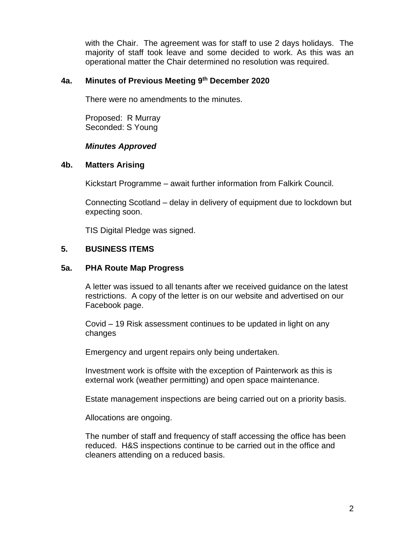with the Chair. The agreement was for staff to use 2 days holidays. The majority of staff took leave and some decided to work. As this was an operational matter the Chair determined no resolution was required.

## **4a. Minutes of Previous Meeting 9 th December 2020**

There were no amendments to the minutes.

Proposed: R Murray Seconded: S Young

## *Minutes Approved*

#### **4b. Matters Arising**

Kickstart Programme – await further information from Falkirk Council.

Connecting Scotland – delay in delivery of equipment due to lockdown but expecting soon.

TIS Digital Pledge was signed.

# **5. BUSINESS ITEMS**

## **5a. PHA Route Map Progress**

A letter was issued to all tenants after we received guidance on the latest restrictions. A copy of the letter is on our website and advertised on our Facebook page.

Covid – 19 Risk assessment continues to be updated in light on any changes

Emergency and urgent repairs only being undertaken.

Investment work is offsite with the exception of Painterwork as this is external work (weather permitting) and open space maintenance.

Estate management inspections are being carried out on a priority basis.

Allocations are ongoing.

The number of staff and frequency of staff accessing the office has been reduced. H&S inspections continue to be carried out in the office and cleaners attending on a reduced basis.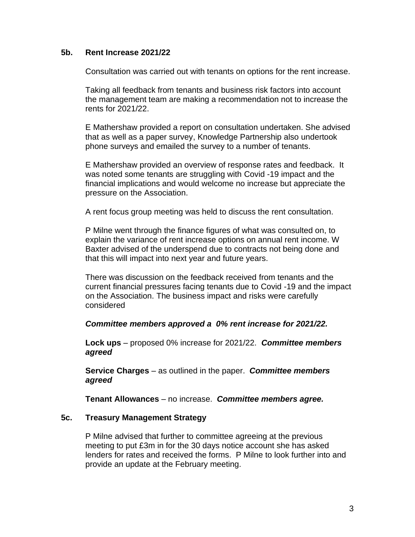#### **5b. Rent Increase 2021/22**

Consultation was carried out with tenants on options for the rent increase.

Taking all feedback from tenants and business risk factors into account the management team are making a recommendation not to increase the rents for 2021/22.

E Mathershaw provided a report on consultation undertaken. She advised that as well as a paper survey, Knowledge Partnership also undertook phone surveys and emailed the survey to a number of tenants.

E Mathershaw provided an overview of response rates and feedback. It was noted some tenants are struggling with Covid -19 impact and the financial implications and would welcome no increase but appreciate the pressure on the Association.

A rent focus group meeting was held to discuss the rent consultation.

P Milne went through the finance figures of what was consulted on, to explain the variance of rent increase options on annual rent income. W Baxter advised of the underspend due to contracts not being done and that this will impact into next year and future years.

There was discussion on the feedback received from tenants and the current financial pressures facing tenants due to Covid -19 and the impact on the Association. The business impact and risks were carefully considered

#### *Committee members approved a 0% rent increase for 2021/22.*

**Lock ups** – proposed 0% increase for 2021/22. *Committee members agreed*

**Service Charges** – as outlined in the paper. *Committee members agreed*

**Tenant Allowances** – no increase. *Committee members agree.*

#### **5c. Treasury Management Strategy**

P Milne advised that further to committee agreeing at the previous meeting to put £3m in for the 30 days notice account she has asked lenders for rates and received the forms. P Milne to look further into and provide an update at the February meeting.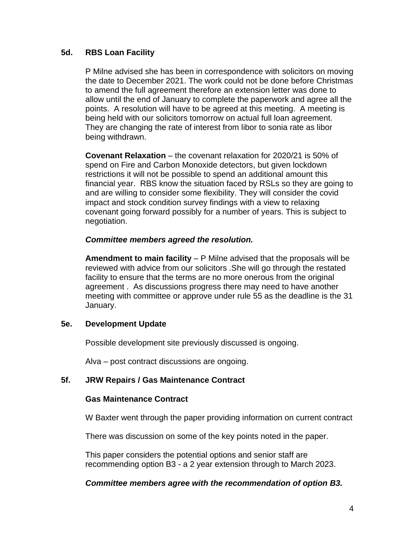# **5d. RBS Loan Facility**

P Milne advised she has been in correspondence with solicitors on moving the date to December 2021. The work could not be done before Christmas to amend the full agreement therefore an extension letter was done to allow until the end of January to complete the paperwork and agree all the points. A resolution will have to be agreed at this meeting. A meeting is being held with our solicitors tomorrow on actual full loan agreement. They are changing the rate of interest from libor to sonia rate as libor being withdrawn.

**Covenant Relaxation** – the covenant relaxation for 2020/21 is 50% of spend on Fire and Carbon Monoxide detectors, but given lockdown restrictions it will not be possible to spend an additional amount this financial year. RBS know the situation faced by RSLs so they are going to and are willing to consider some flexibility. They will consider the covid impact and stock condition survey findings with a view to relaxing covenant going forward possibly for a number of years. This is subject to negotiation.

## *Committee members agreed the resolution.*

**Amendment to main facility** – P Milne advised that the proposals will be reviewed with advice from our solicitors .She will go through the restated facility to ensure that the terms are no more onerous from the original agreement . As discussions progress there may need to have another meeting with committee or approve under rule 55 as the deadline is the 31 January.

## **5e. Development Update**

Possible development site previously discussed is ongoing.

Alva – post contract discussions are ongoing.

## **5f. JRW Repairs / Gas Maintenance Contract**

## **Gas Maintenance Contract**

W Baxter went through the paper providing information on current contract

There was discussion on some of the key points noted in the paper.

This paper considers the potential options and senior staff are recommending option B3 - a 2 year extension through to March 2023.

## *Committee members agree with the recommendation of option B3.*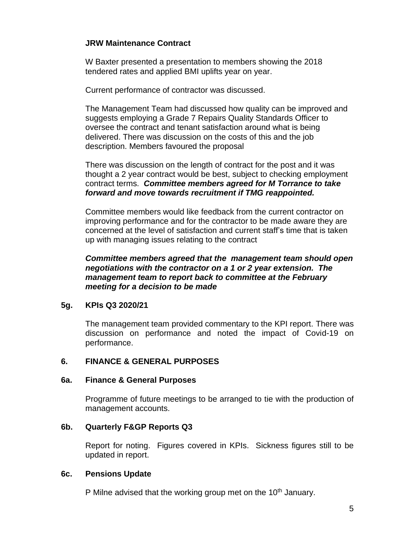# **JRW Maintenance Contract**

W Baxter presented a presentation to members showing the 2018 tendered rates and applied BMI uplifts year on year.

Current performance of contractor was discussed.

The Management Team had discussed how quality can be improved and suggests employing a Grade 7 Repairs Quality Standards Officer to oversee the contract and tenant satisfaction around what is being delivered. There was discussion on the costs of this and the job description. Members favoured the proposal

There was discussion on the length of contract for the post and it was thought a 2 year contract would be best, subject to checking employment contract terms. *Committee members agreed for M Torrance to take forward and move towards recruitment if TMG reappointed.*

Committee members would like feedback from the current contractor on improving performance and for the contractor to be made aware they are concerned at the level of satisfaction and current staff's time that is taken up with managing issues relating to the contract

*Committee members agreed that the management team should open negotiations with the contractor on a 1 or 2 year extension. The management team to report back to committee at the February meeting for a decision to be made*

## **5g. KPIs Q3 2020/21**

The management team provided commentary to the KPI report. There was discussion on performance and noted the impact of Covid-19 on performance.

## **6. FINANCE & GENERAL PURPOSES**

## **6a. Finance & General Purposes**

Programme of future meetings to be arranged to tie with the production of management accounts.

## **6b. Quarterly F&GP Reports Q3**

Report for noting. Figures covered in KPIs. Sickness figures still to be updated in report.

## **6c. Pensions Update**

P Milne advised that the working group met on the  $10<sup>th</sup>$  January.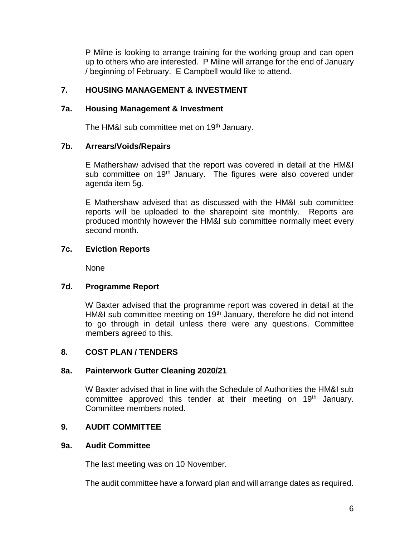P Milne is looking to arrange training for the working group and can open up to others who are interested. P Milne will arrange for the end of January / beginning of February. E Campbell would like to attend.

# **7. HOUSING MANAGEMENT & INVESTMENT**

#### **7a. Housing Management & Investment**

The HM&I sub committee met on 19<sup>th</sup> January.

## **7b. Arrears/Voids/Repairs**

E Mathershaw advised that the report was covered in detail at the HM&I sub committee on 19<sup>th</sup> January. The figures were also covered under agenda item 5g.

E Mathershaw advised that as discussed with the HM&I sub committee reports will be uploaded to the sharepoint site monthly. Reports are produced monthly however the HM&I sub committee normally meet every second month.

## **7c. Eviction Reports**

None

## **7d. Programme Report**

W Baxter advised that the programme report was covered in detail at the HM&I sub committee meeting on 19<sup>th</sup> January, therefore he did not intend to go through in detail unless there were any questions. Committee members agreed to this.

# **8. COST PLAN / TENDERS**

## **8a. Painterwork Gutter Cleaning 2020/21**

W Baxter advised that in line with the Schedule of Authorities the HM&I sub committee approved this tender at their meeting on 19<sup>th</sup> January. Committee members noted.

## **9. AUDIT COMMITTEE**

#### **9a. Audit Committee**

The last meeting was on 10 November.

The audit committee have a forward plan and will arrange dates as required.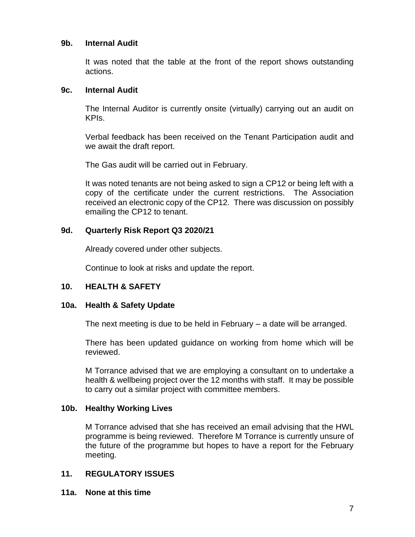#### **9b. Internal Audit**

It was noted that the table at the front of the report shows outstanding actions.

#### **9c. Internal Audit**

The Internal Auditor is currently onsite (virtually) carrying out an audit on KPIs.

Verbal feedback has been received on the Tenant Participation audit and we await the draft report.

The Gas audit will be carried out in February.

It was noted tenants are not being asked to sign a CP12 or being left with a copy of the certificate under the current restrictions. The Association received an electronic copy of the CP12. There was discussion on possibly emailing the CP12 to tenant.

## **9d. Quarterly Risk Report Q3 2020/21**

Already covered under other subjects.

Continue to look at risks and update the report.

## **10. HEALTH & SAFETY**

## **10a. Health & Safety Update**

The next meeting is due to be held in February – a date will be arranged.

There has been updated guidance on working from home which will be reviewed.

M Torrance advised that we are employing a consultant on to undertake a health & wellbeing project over the 12 months with staff. It may be possible to carry out a similar project with committee members.

## **10b. Healthy Working Lives**

M Torrance advised that she has received an email advising that the HWL programme is being reviewed. Therefore M Torrance is currently unsure of the future of the programme but hopes to have a report for the February meeting.

## **11. REGULATORY ISSUES**

**11a. None at this time**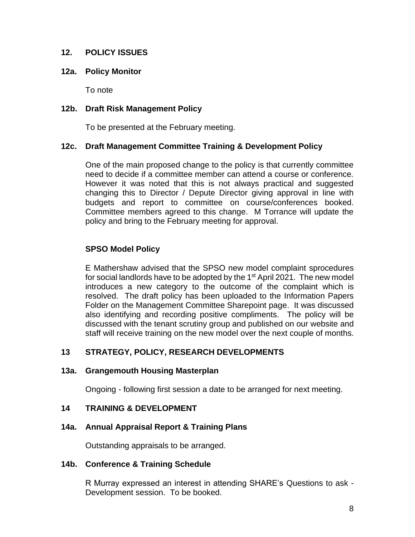## **12. POLICY ISSUES**

#### **12a. Policy Monitor**

To note

## **12b. Draft Risk Management Policy**

To be presented at the February meeting.

#### **12c. Draft Management Committee Training & Development Policy**

One of the main proposed change to the policy is that currently committee need to decide if a committee member can attend a course or conference. However it was noted that this is not always practical and suggested changing this to Director / Depute Director giving approval in line with budgets and report to committee on course/conferences booked. Committee members agreed to this change. M Torrance will update the policy and bring to the February meeting for approval.

## **SPSO Model Policy**

E Mathershaw advised that the SPSO new model complaint sprocedures for social landlords have to be adopted by the 1<sup>st</sup> April 2021. The new model introduces a new category to the outcome of the complaint which is resolved. The draft policy has been uploaded to the Information Papers Folder on the Management Committee Sharepoint page. It was discussed also identifying and recording positive compliments. The policy will be discussed with the tenant scrutiny group and published on our website and staff will receive training on the new model over the next couple of months.

## **13 STRATEGY, POLICY, RESEARCH DEVELOPMENTS**

#### **13a. Grangemouth Housing Masterplan**

Ongoing - following first session a date to be arranged for next meeting.

## **14 TRAINING & DEVELOPMENT**

## **14a. Annual Appraisal Report & Training Plans**

Outstanding appraisals to be arranged.

#### **14b. Conference & Training Schedule**

R Murray expressed an interest in attending SHARE's Questions to ask - Development session. To be booked.